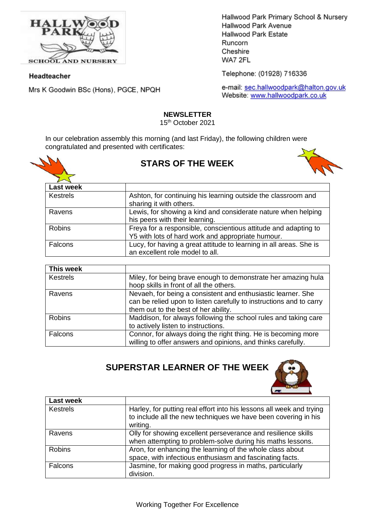

**SCHOOL AND NURSERY** 

### Headteacher

Mrs K Goodwin BSc (Hons), PGCE, NPQH

Hallwood Park Primary School & Nursery Hallwood Park Avenue Hallwood Park Estate Runcorn Cheshire WA7 2FL

Telephone: (01928) 716336

e-mail: sec.hallwoodpark@halton.gov.uk Website: www.hallwoodpark.co.uk

## **NEWSLETTER**

15th October 2021

In our celebration assembly this morning (and last Friday), the following children were congratulated and presented with certificates:



# **STARS OF THE WEEK**



| <b>Last week</b> |                                                                                                                      |
|------------------|----------------------------------------------------------------------------------------------------------------------|
| <b>Kestrels</b>  | Ashton, for continuing his learning outside the classroom and<br>sharing it with others.                             |
| Ravens           | Lewis, for showing a kind and considerate nature when helping<br>his peers with their learning.                      |
| <b>Robins</b>    | Freya for a responsible, conscientious attitude and adapting to<br>Y5 with lots of hard work and appropriate humour. |
| Falcons          | Lucy, for having a great attitude to learning in all areas. She is<br>an excellent role model to all.                |

| This week       |                                                                                                                                                                             |
|-----------------|-----------------------------------------------------------------------------------------------------------------------------------------------------------------------------|
| <b>Kestrels</b> | Miley, for being brave enough to demonstrate her amazing hula<br>hoop skills in front of all the others.                                                                    |
| Ravens          | Nevaeh, for being a consistent and enthusiastic learner. She<br>can be relied upon to listen carefully to instructions and to carry<br>them out to the best of her ability. |
| Robins          | Maddison, for always following the school rules and taking care<br>to actively listen to instructions.                                                                      |
| Falcons         | Connor, for always doing the right thing. He is becoming more<br>willing to offer answers and opinions, and thinks carefully.                                               |

**SUPERSTAR LEARNER OF THE WEEK**



| <b>Last week</b> |                                                                                                                                                    |
|------------------|----------------------------------------------------------------------------------------------------------------------------------------------------|
| <b>Kestrels</b>  | Harley, for putting real effort into his lessons all week and trying<br>to include all the new techniques we have been covering in his<br>writing. |
| Ravens           | Olly for showing excellent perseverance and resilience skills<br>when attempting to problem-solve during his maths lessons.                        |
| <b>Robins</b>    | Aron, for enhancing the learning of the whole class about<br>space, with infectious enthusiasm and fascinating facts.                              |
| <b>Falcons</b>   | Jasmine, for making good progress in maths, particularly<br>division.                                                                              |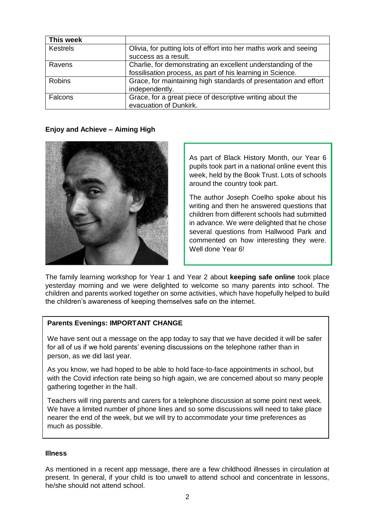| This week     |                                                                                                                            |
|---------------|----------------------------------------------------------------------------------------------------------------------------|
| Kestrels      | Olivia, for putting lots of effort into her maths work and seeing<br>success as a result.                                  |
| Ravens        | Charlie, for demonstrating an excellent understanding of the<br>fossilisation process, as part of his learning in Science. |
| <b>Robins</b> | Grace, for maintaining high standards of presentation and effort<br>independently.                                         |
| Falcons       | Grace, for a great piece of descriptive writing about the<br>evacuation of Dunkirk.                                        |

### **Enjoy and Achieve – Aiming High**



As part of Black History Month, our Year 6 pupils took part in a national online event this week, held by the Book Trust. Lots of schools around the country took part.

The author Joseph Coelho spoke about his writing and then he answered questions that children from different schools had submitted in advance. We were delighted that he chose several questions from Hallwood Park and commented on how interesting they were. Well done Year 6!

The family learning workshop for Year 1 and Year 2 about **keeping safe online** took place yesterday morning and we were delighted to welcome so many parents into school. The children and parents worked together on some activities, which have hopefully helped to build the children's awareness of keeping themselves safe on the internet.

# **Parents Evenings: IMPORTANT CHANGE**

We have sent out a message on the app today to say that we have decided it will be safer for all of us if we hold parents' evening discussions on the telephone rather than in person, as we did last year.

As you know, we had hoped to be able to hold face-to-face appointments in school, but with the Covid infection rate being so high again, we are concerned about so many people gathering together in the hall.

Teachers will ring parents and carers for a telephone discussion at some point next week. We have a limited number of phone lines and so some discussions will need to take place nearer the end of the week, but we will try to accommodate your time preferences as much as possible.

### **Illness**

As mentioned in a recent app message, there are a few childhood illnesses in circulation at present. In general, if your child is too unwell to attend school and concentrate in lessons, he/she should not attend school.